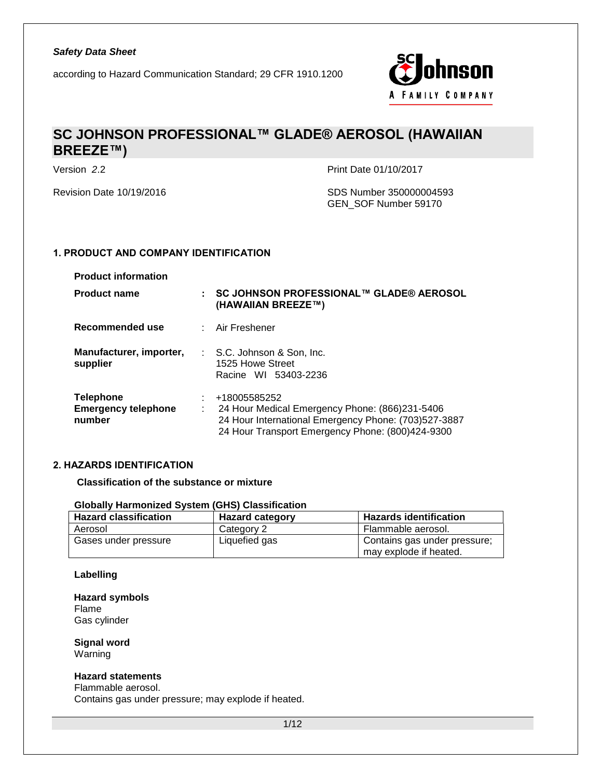

# **SC JOHNSON PROFESSIONAL™ GLADE® AEROSOL (HAWAIIAN BREEZE™)**

Version *2*.2 Print Date 01/10/2017

Revision Date 10/19/2016 SDS Number 350000004593 GEN\_SOF Number 59170

### **1. PRODUCT AND COMPANY IDENTIFICATION**

| <b>Product information</b>                               |   |                                                                                                                                                                            |
|----------------------------------------------------------|---|----------------------------------------------------------------------------------------------------------------------------------------------------------------------------|
| <b>Product name</b>                                      | ÷ | <b>SC JOHNSON PROFESSIONAL™ GLADE® AEROSOL</b><br>(HAWAIIAN BREEZE™)                                                                                                       |
| Recommended use                                          |   | : Air Freshener                                                                                                                                                            |
| Manufacturer, importer,<br>supplier                      |   | $\therefore$ S.C. Johnson & Son, Inc.<br>1525 Howe Street<br>Racine WI 53403-2236                                                                                          |
| <b>Telephone</b><br><b>Emergency telephone</b><br>number | ÷ | +18005585252<br>24 Hour Medical Emergency Phone: (866)231-5406<br>24 Hour International Emergency Phone: (703)527-3887<br>24 Hour Transport Emergency Phone: (800)424-9300 |

### **2. HAZARDS IDENTIFICATION**

**Classification of the substance or mixture**

### **Globally Harmonized System (GHS) Classification**

| <b>Hazard classification</b> | <b>Hazard category</b>           | <b>Hazards identification</b>                          |
|------------------------------|----------------------------------|--------------------------------------------------------|
| Aerosol                      | Flammable aerosol.<br>Category 2 |                                                        |
| Gases under pressure         | Liquefied gas                    | Contains gas under pressure;<br>may explode if heated. |

### **Labelling**

**Hazard symbols** Flame Gas cylinder

**Signal word** Warning

#### **Hazard statements**

Flammable aerosol. Contains gas under pressure; may explode if heated.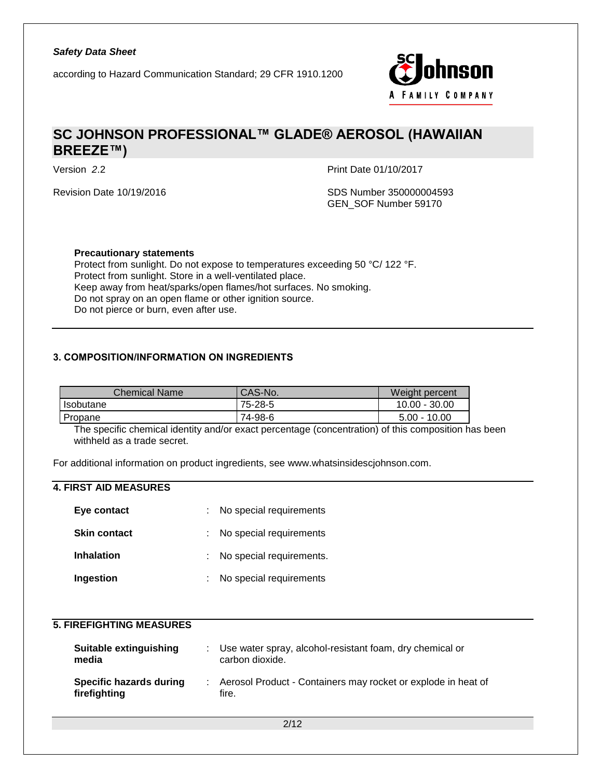

# **SC JOHNSON PROFESSIONAL™ GLADE® AEROSOL (HAWAIIAN BREEZE™)**

Version *2*.2 Print Date 01/10/2017

Revision Date 10/19/2016 SDS Number 350000004593 GEN\_SOF Number 59170

#### **Precautionary statements**

Protect from sunlight. Do not expose to temperatures exceeding 50 °C/ 122 °F. Protect from sunlight. Store in a well-ventilated place. Keep away from heat/sparks/open flames/hot surfaces. No smoking. Do not spray on an open flame or other ignition source. Do not pierce or burn, even after use.

## **3. COMPOSITION/INFORMATION ON INGREDIENTS**

| Chemical Name | CAS-No. | Weight percent |
|---------------|---------|----------------|
| Isobutane     | 75-28-5 | 10.00 - 30.00  |
| Propane       | 74-98-6 | $5.00 - 10.00$ |

The specific chemical identity and/or exact percentage (concentration) of this composition has been withheld as a trade secret.

For additional information on product ingredients, see www.whatsinsidescjohnson.com.

## **4. FIRST AID MEASURES**

| Eye contact         | : No special requirements  |
|---------------------|----------------------------|
| <b>Skin contact</b> | : No special requirements  |
| <b>Inhalation</b>   | : No special requirements. |
| Ingestion           | : No special requirements  |

#### **5. FIREFIGHTING MEASURES**

| <b>Suitable extinguishing</b><br>media  | : Use water spray, alcohol-resistant foam, dry chemical or<br>carbon dioxide. |
|-----------------------------------------|-------------------------------------------------------------------------------|
| Specific hazards during<br>firefighting | : Aerosol Product - Containers may rocket or explode in heat of<br>fire.      |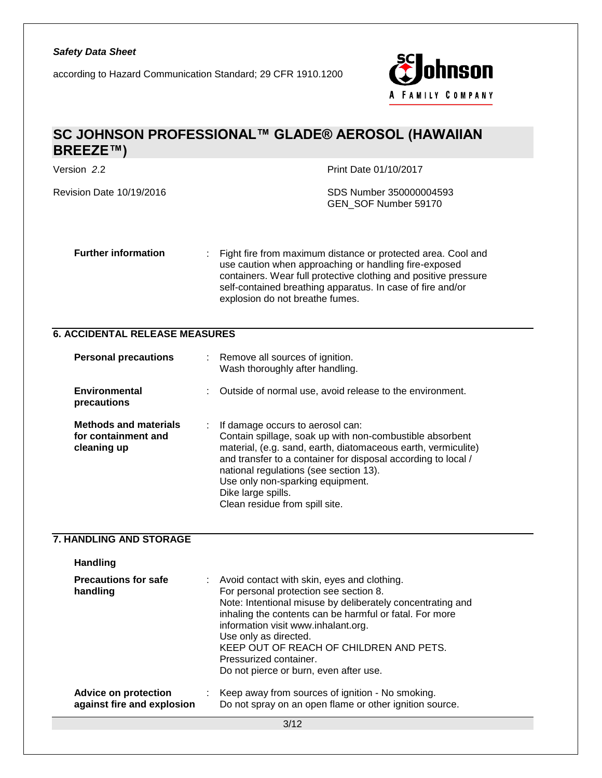

# **SC JOHNSON PROFESSIONAL™ GLADE® AEROSOL (HAWAIIAN BREEZE™)**

| Version 2.2                                                        | Print Date 01/10/2017                                                                                                                                                                                                                                                                                                                                                |
|--------------------------------------------------------------------|----------------------------------------------------------------------------------------------------------------------------------------------------------------------------------------------------------------------------------------------------------------------------------------------------------------------------------------------------------------------|
| Revision Date 10/19/2016                                           | SDS Number 350000004593<br>GEN SOF Number 59170                                                                                                                                                                                                                                                                                                                      |
| <b>Further information</b>                                         | Fight fire from maximum distance or protected area. Cool and<br>use caution when approaching or handling fire-exposed<br>containers. Wear full protective clothing and positive pressure<br>self-contained breathing apparatus. In case of fire and/or<br>explosion do not breathe fumes.                                                                            |
| <b>6. ACCIDENTAL RELEASE MEASURES</b>                              |                                                                                                                                                                                                                                                                                                                                                                      |
| <b>Personal precautions</b>                                        | Remove all sources of ignition.<br>Wash thoroughly after handling.                                                                                                                                                                                                                                                                                                   |
| <b>Environmental</b><br>precautions                                | Outside of normal use, avoid release to the environment.                                                                                                                                                                                                                                                                                                             |
| <b>Methods and materials</b><br>for containment and<br>cleaning up | If damage occurs to aerosol can:<br>Contain spillage, soak up with non-combustible absorbent<br>material, (e.g. sand, earth, diatomaceous earth, vermiculite)<br>and transfer to a container for disposal according to local /<br>national regulations (see section 13).<br>Use only non-sparking equipment.<br>Dike large spills.<br>Clean residue from spill site. |
| 7. HANDLING AND STORAGE                                            |                                                                                                                                                                                                                                                                                                                                                                      |

| <b>Handling</b>                                           |                                                                                                                                                                                                                                                                                                                                                                                                 |
|-----------------------------------------------------------|-------------------------------------------------------------------------------------------------------------------------------------------------------------------------------------------------------------------------------------------------------------------------------------------------------------------------------------------------------------------------------------------------|
| <b>Precautions for safe</b><br>handling                   | : Avoid contact with skin, eyes and clothing.<br>For personal protection see section 8.<br>Note: Intentional misuse by deliberately concentrating and<br>inhaling the contents can be harmful or fatal. For more<br>information visit www.inhalant.org.<br>Use only as directed.<br>KEEP OUT OF REACH OF CHILDREN AND PETS.<br>Pressurized container.<br>Do not pierce or burn, even after use. |
| <b>Advice on protection</b><br>against fire and explosion | : Keep away from sources of ignition - No smoking.<br>Do not spray on an open flame or other ignition source.                                                                                                                                                                                                                                                                                   |

3/12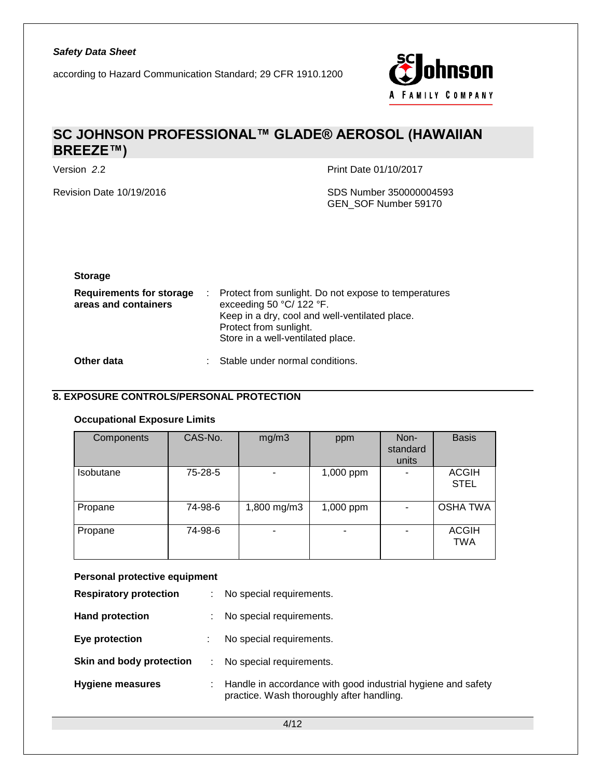

# **SC JOHNSON PROFESSIONAL™ GLADE® AEROSOL (HAWAIIAN BREEZE™)**

Version *2*.2 Print Date 01/10/2017

Revision Date 10/19/2016 SDS Number 350000004593 GEN\_SOF Number 59170

### **Storage**

| Requirements for storage<br>areas and containers | Protect from sunlight. Do not expose to temperatures<br>exceeding 50 $°C/$ 122 $°F.$<br>Keep in a dry, cool and well-ventilated place.<br>Protect from sunlight.<br>Store in a well-ventilated place. |
|--------------------------------------------------|-------------------------------------------------------------------------------------------------------------------------------------------------------------------------------------------------------|
| Other data                                       | : Stable under normal conditions.                                                                                                                                                                     |

## **8. EXPOSURE CONTROLS/PERSONAL PROTECTION**

#### **Occupational Exposure Limits**

| Components | CAS-No. | mg/m3       | ppm       | Non-<br>standard<br>units | <b>Basis</b>                |
|------------|---------|-------------|-----------|---------------------------|-----------------------------|
| Isobutane  | 75-28-5 |             | 1,000 ppm |                           | <b>ACGIH</b><br><b>STEL</b> |
| Propane    | 74-98-6 | 1,800 mg/m3 | 1,000 ppm |                           | <b>OSHA TWA</b>             |
| Propane    | 74-98-6 |             |           |                           | <b>ACGIH</b><br><b>TWA</b>  |

### **Personal protective equipment**

| <b>Respiratory protection</b> | ÷ | No special requirements.                                                                                  |
|-------------------------------|---|-----------------------------------------------------------------------------------------------------------|
| <b>Hand protection</b>        | ÷ | No special requirements.                                                                                  |
| Eye protection                |   | No special requirements.                                                                                  |
| Skin and body protection      |   | No special requirements.                                                                                  |
| Hygiene measures              |   | Handle in accordance with good industrial hygiene and safety<br>practice. Wash thoroughly after handling. |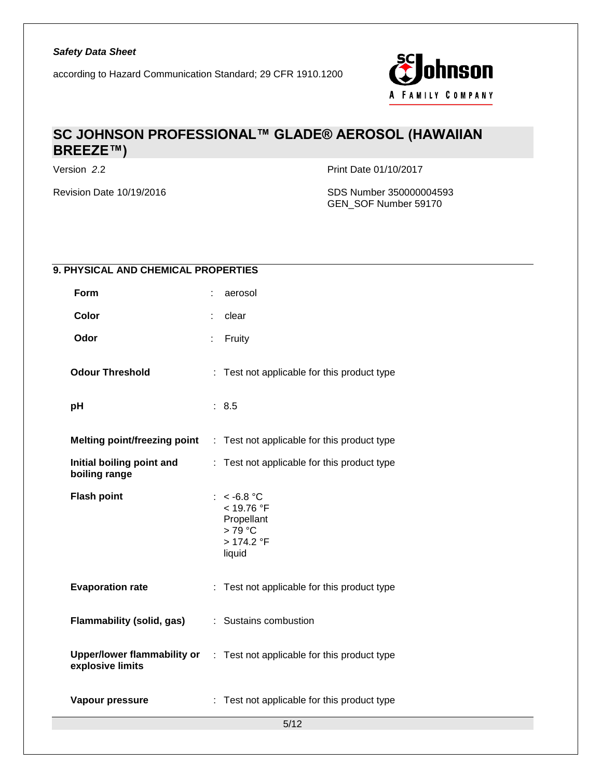

# **SC JOHNSON PROFESSIONAL™ GLADE® AEROSOL (HAWAIIAN BREEZE™)**

Version *2*.2 Print Date 01/10/2017

Revision Date 10/19/2016 SDS Number 350000004593 GEN\_SOF Number 59170

## **9. PHYSICAL AND CHEMICAL PROPERTIES**

| Form                    |                           |    | aerosol                                                                             |
|-------------------------|---------------------------|----|-------------------------------------------------------------------------------------|
| Color                   |                           | ÷. | clear                                                                               |
| Odor                    |                           |    | Fruity                                                                              |
| <b>Odour Threshold</b>  |                           |    | : Test not applicable for this product type                                         |
| pH                      |                           |    | : 8.5                                                                               |
|                         |                           |    | <b>Melting point/freezing point</b> : Test not applicable for this product type     |
| boiling range           | Initial boiling point and |    | : Test not applicable for this product type                                         |
| <b>Flash point</b>      |                           |    | : $< -6.8$ °C<br>< 19.76 °F<br>Propellant<br>$>79^{\circ}$ C<br>>174.2 °F<br>liquid |
| <b>Evaporation rate</b> |                           |    | : Test not applicable for this product type                                         |
|                         | Flammability (solid, gas) |    | : Sustains combustion                                                               |
| explosive limits        |                           |    | <b>Upper/lower flammability or</b> : Test not applicable for this product type      |
| Vapour pressure         |                           |    | : Test not applicable for this product type                                         |
|                         |                           |    | 5/12                                                                                |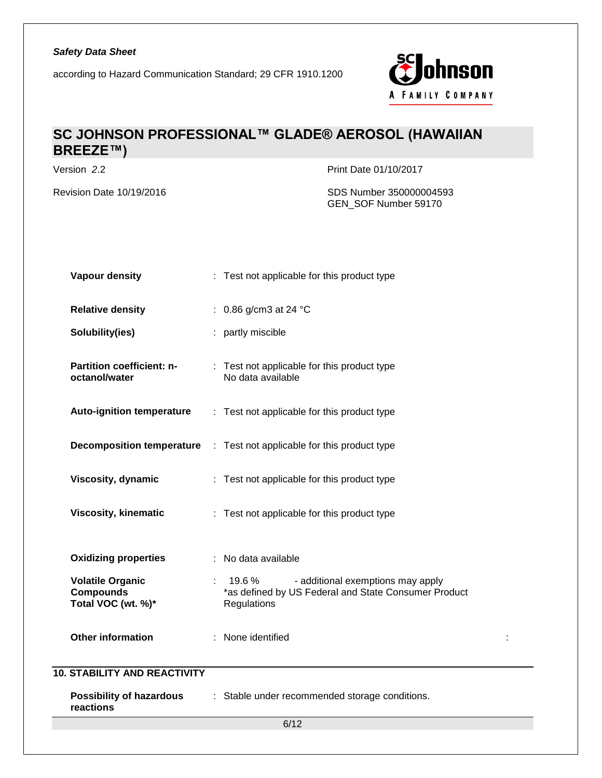

# **SC JOHNSON PROFESSIONAL™ GLADE® AEROSOL (HAWAIIAN BREEZE™)**

Version *2*.2 Print Date 01/10/2017

Revision Date 10/19/2016 SDS Number 350000004593 GEN\_SOF Number 59170

| Vapour density                                                    | : Test not applicable for this product type                                                                            |  |
|-------------------------------------------------------------------|------------------------------------------------------------------------------------------------------------------------|--|
| <b>Relative density</b>                                           | : 0.86 g/cm3 at 24 $^{\circ}$ C                                                                                        |  |
| Solubility(ies)                                                   | : partly miscible                                                                                                      |  |
| Partition coefficient: n-<br>octanol/water                        | : Test not applicable for this product type<br>No data available                                                       |  |
| <b>Auto-ignition temperature</b>                                  | : Test not applicable for this product type                                                                            |  |
|                                                                   | <b>Decomposition temperature</b> : Test not applicable for this product type                                           |  |
| Viscosity, dynamic                                                | : Test not applicable for this product type                                                                            |  |
| <b>Viscosity, kinematic</b>                                       | : Test not applicable for this product type                                                                            |  |
| <b>Oxidizing properties</b>                                       | : No data available                                                                                                    |  |
| <b>Volatile Organic</b><br><b>Compounds</b><br>Total VOC (wt. %)* | - additional exemptions may apply<br>$: 19.6\%$<br>*as defined by US Federal and State Consumer Product<br>Regulations |  |
| <b>Other information</b>                                          | : None identified                                                                                                      |  |
| <b>10. STABILITY AND REACTIVITY</b>                               |                                                                                                                        |  |
| <b>Possibility of hazardous</b><br>reactions                      | : Stable under recommended storage conditions.                                                                         |  |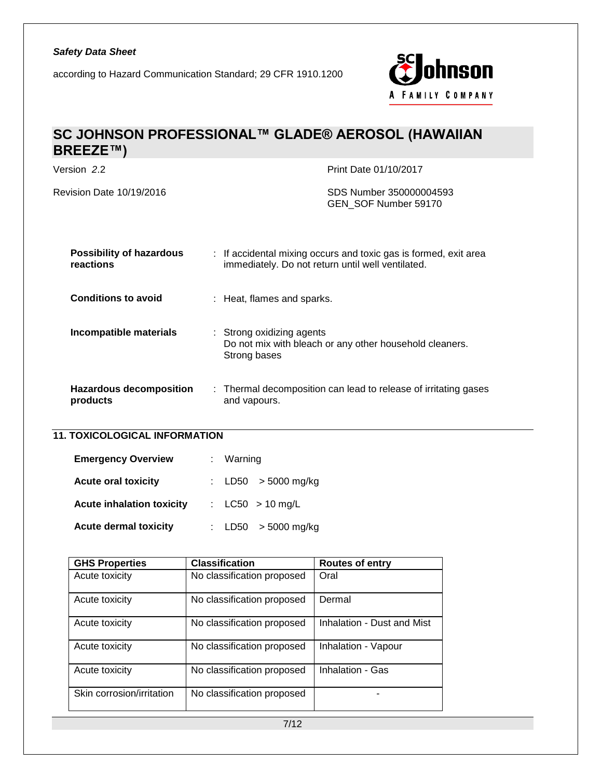

# **SC JOHNSON PROFESSIONAL™ GLADE® AEROSOL (HAWAIIAN BREEZE™)**

Version *2*.2 Print Date 01/10/2017 Revision Date 10/19/2016 SDS Number 350000004593 GEN\_SOF Number 59170 **Possibility of hazardous reactions** : If accidental mixing occurs and toxic gas is formed, exit area immediately. Do not return until well ventilated. **Conditions to avoid** : Heat, flames and sparks. **Incompatible materials** : Strong oxidizing agents Do not mix with bleach or any other household cleaners. Strong bases **Hazardous decomposition products** : Thermal decomposition can lead to release of irritating gases and vapours.

## **11. TOXICOLOGICAL INFORMATION**

| <b>Emergency Overview</b>        | : Warning |                       |
|----------------------------------|-----------|-----------------------|
| <b>Acute oral toxicity</b>       |           | : LD50 $>$ 5000 mg/kg |
| <b>Acute inhalation toxicity</b> |           | : $LC50 > 10$ mg/L    |
| <b>Acute dermal toxicity</b>     |           | : LD50 $>$ 5000 mg/kg |

| <b>GHS Properties</b>     | <b>Classification</b>      | <b>Routes of entry</b>     |
|---------------------------|----------------------------|----------------------------|
| Acute toxicity            | No classification proposed | Oral                       |
| Acute toxicity            | No classification proposed | Dermal                     |
| Acute toxicity            | No classification proposed | Inhalation - Dust and Mist |
| Acute toxicity            | No classification proposed | Inhalation - Vapour        |
| Acute toxicity            | No classification proposed | Inhalation - Gas           |
| Skin corrosion/irritation | No classification proposed |                            |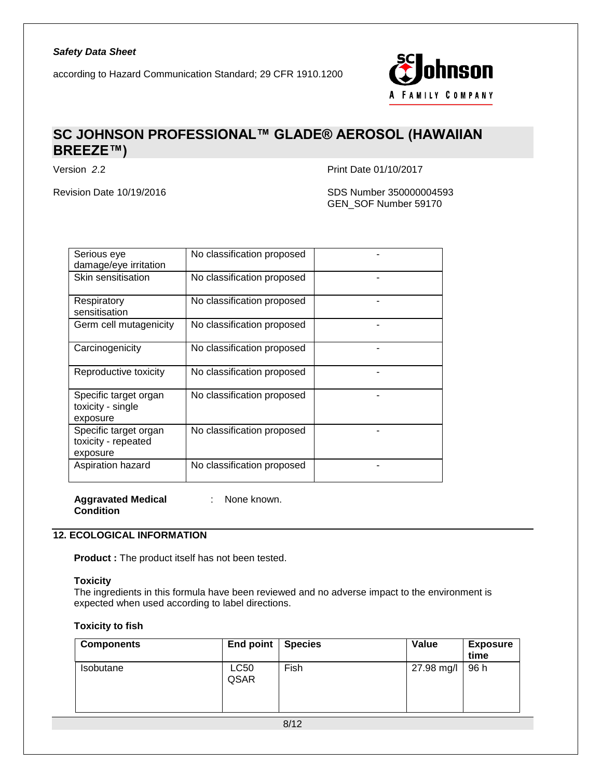

# **SC JOHNSON PROFESSIONAL™ GLADE® AEROSOL (HAWAIIAN BREEZE™)**

Version *2*.2 Print Date 01/10/2017

Revision Date 10/19/2016 SDS Number 350000004593 GEN\_SOF Number 59170

| Serious eye<br>damage/eye irritation                     | No classification proposed |  |
|----------------------------------------------------------|----------------------------|--|
| Skin sensitisation                                       | No classification proposed |  |
| Respiratory<br>sensitisation                             | No classification proposed |  |
| Germ cell mutagenicity                                   | No classification proposed |  |
| Carcinogenicity                                          | No classification proposed |  |
| Reproductive toxicity                                    | No classification proposed |  |
| Specific target organ<br>toxicity - single<br>exposure   | No classification proposed |  |
| Specific target organ<br>toxicity - repeated<br>exposure | No classification proposed |  |
| Aspiration hazard                                        | No classification proposed |  |

**Aggravated Medical**  : None known. **Condition**

## **12. ECOLOGICAL INFORMATION**

**Product :** The product itself has not been tested.

#### **Toxicity**

The ingredients in this formula have been reviewed and no adverse impact to the environment is expected when used according to label directions.

#### **Toxicity to fish**

| <b>Components</b> | <b>End point</b> | <b>Species</b> | Value      | <b>Exposure</b><br>time |
|-------------------|------------------|----------------|------------|-------------------------|
| <b>Isobutane</b>  | LC50<br>QSAR     | Fish           | 27.98 mg/l | 96 h                    |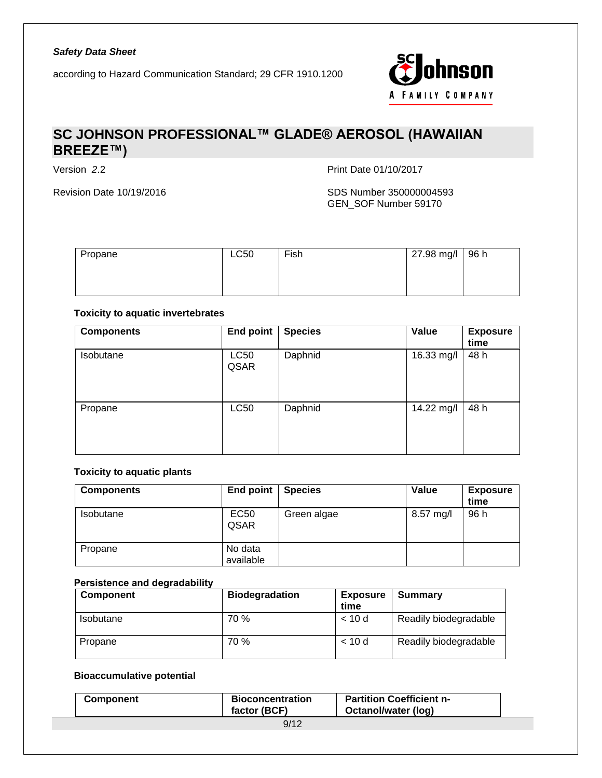

# **SC JOHNSON PROFESSIONAL™ GLADE® AEROSOL (HAWAIIAN BREEZE™)**

Version *2*.2 Print Date 01/10/2017

Revision Date 10/19/2016 SDS Number 350000004593 GEN\_SOF Number 59170

| Propane | <b>LC50</b> | Fish | 27.98 mg/l 96 h |  |
|---------|-------------|------|-----------------|--|
|         |             |      |                 |  |
|         |             |      |                 |  |

### **Toxicity to aquatic invertebrates**

| <b>Components</b> | <b>End point</b>    | <b>Species</b> | Value      | <b>Exposure</b><br>time |
|-------------------|---------------------|----------------|------------|-------------------------|
| Isobutane         | <b>LC50</b><br>QSAR | Daphnid        | 16.33 mg/l | 48 h                    |
| Propane           | <b>LC50</b>         | Daphnid        | 14.22 mg/l | 48 h                    |

### **Toxicity to aquatic plants**

| <b>Components</b> | End point            | <b>Species</b> | <b>Value</b> | <b>Exposure</b><br>time |
|-------------------|----------------------|----------------|--------------|-------------------------|
| <b>Isobutane</b>  | <b>EC50</b><br>QSAR  | Green algae    | 8.57 mg/l    | 96 h                    |
| Propane           | No data<br>available |                |              |                         |

#### **Persistence and degradability**

| <b>Component</b> | <b>Biodegradation</b> | <b>Exposure</b><br>time | Summary               |
|------------------|-----------------------|-------------------------|-----------------------|
| Isobutane        | 70 %                  | < 10d                   | Readily biodegradable |
| Propane          | 70 %                  | < 10d                   | Readily biodegradable |

### **Bioaccumulative potential**

| <b>Bioconcentration</b><br>Component<br>factor (BCF) | <b>Partition Coefficient n-</b><br><b>Octanol/water (log)</b> |
|------------------------------------------------------|---------------------------------------------------------------|
|------------------------------------------------------|---------------------------------------------------------------|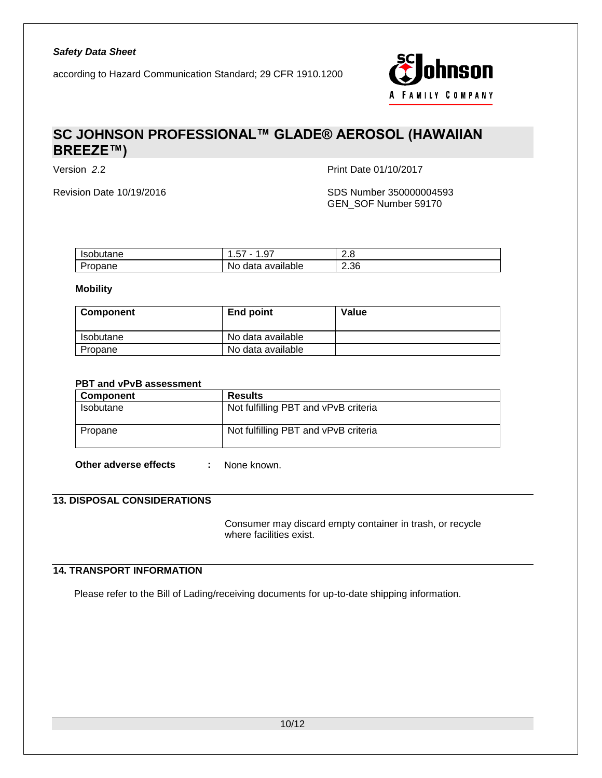

# **SC JOHNSON PROFESSIONAL™ GLADE® AEROSOL (HAWAIIAN BREEZE™)**

Version *2*.2 Print Date 01/10/2017

Revision Date 10/19/2016 **SDS Number 350000004593** GEN\_SOF Number 59170

| <b>Isobutane</b> | $\sim$<br>◡<br>، ب<br>.        | റ<br>$\sim$<br>د.ء |
|------------------|--------------------------------|--------------------|
| 'ropane          | available<br><b>No</b><br>data | 2.36               |

**Mobility**

| Component | End point         | Value |
|-----------|-------------------|-------|
| Isobutane | No data available |       |
| Propane   | No data available |       |

### **PBT and vPvB assessment**

| <b>Component</b> | Results                              |
|------------------|--------------------------------------|
| Isobutane        | Not fulfilling PBT and vPvB criteria |
| Propane          | Not fulfilling PBT and vPvB criteria |

**Other adverse effects :** None known.

## **13. DISPOSAL CONSIDERATIONS**

Consumer may discard empty container in trash, or recycle where facilities exist.

### **14. TRANSPORT INFORMATION**

Please refer to the Bill of Lading/receiving documents for up-to-date shipping information.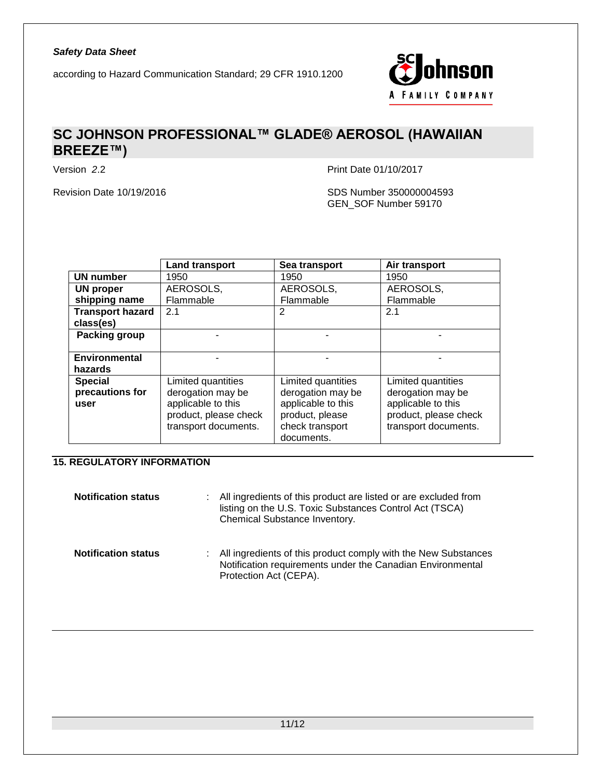

# **SC JOHNSON PROFESSIONAL™ GLADE® AEROSOL (HAWAIIAN BREEZE™)**

Version *2*.2 Print Date 01/10/2017

Revision Date 10/19/2016 SDS Number 350000004593 GEN\_SOF Number 59170

|                         | <b>Land transport</b> | Sea transport      | Air transport         |
|-------------------------|-----------------------|--------------------|-----------------------|
| <b>UN number</b>        | 1950                  | 1950               | 1950                  |
| <b>UN proper</b>        | AEROSOLS,             | AEROSOLS,          | AEROSOLS,             |
| shipping name           | Flammable             | Flammable          | Flammable             |
| <b>Transport hazard</b> | 2.1                   | 2                  | 2.1                   |
| class(es)               |                       |                    |                       |
| <b>Packing group</b>    |                       |                    |                       |
|                         |                       |                    |                       |
| <b>Environmental</b>    |                       |                    |                       |
| hazards                 |                       |                    |                       |
| <b>Special</b>          | Limited quantities    | Limited quantities | Limited quantities    |
| precautions for         | derogation may be     | derogation may be  | derogation may be     |
| user                    | applicable to this    | applicable to this | applicable to this    |
|                         | product, please check | product, please    | product, please check |
|                         | transport documents.  | check transport    | transport documents.  |
|                         |                       | documents.         |                       |

## **15. REGULATORY INFORMATION**

| <b>Notification status</b> | : All ingredients of this product are listed or are excluded from<br>listing on the U.S. Toxic Substances Control Act (TSCA)<br>Chemical Substance Inventory. |
|----------------------------|---------------------------------------------------------------------------------------------------------------------------------------------------------------|
| <b>Notification status</b> | : All ingredients of this product comply with the New Substances<br>Notification requirements under the Canadian Environmental<br>Protection Act (CEPA).      |